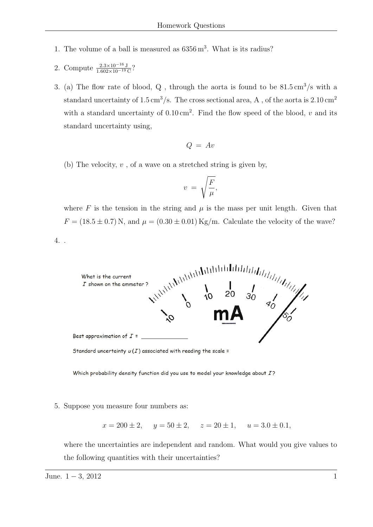- 1. The volume of a ball is measured as  $6356 \,\mathrm{m}^3$ . What is its radius?
- 2. Compute  $\frac{2.3 \times 10^{-16} \text{ J}}{1.602 \times 10^{-19} \text{ C}}$ ?
- 3. (a) The flow rate of blood,  $Q$ , through the aorta is found to be  $81.5 \text{ cm}^3/\text{s}$  with a standard uncertainty of 1.5 cm<sup>3</sup>/s. The cross sectional area, A, of the aorta is  $2.10 \text{ cm}^2$ with a standard uncertainty of  $0.10 \text{ cm}^2$ . Find the flow speed of the blood, *v* and its standard uncertainty using,

$$
Q = Av
$$

(b) The velocity, *v* , of a wave on a stretched string is given by,

$$
v\ =\ \sqrt{\frac{F}{\mu}},
$$

where  $F$  is the tension in the string and  $\mu$  is the mass per unit length. Given that  $F = (18.5 \pm 0.7)$  N, and  $\mu = (0.30 \pm 0.01)$  Kg/m. Calculate the velocity of the wave?

4. .



Standard uncertainty  $u(I)$  associated with reading the scale =

Which probability density function did you use to model your knowledge about I?

## 5. Suppose you measure four numbers as:

$$
x = 200 \pm 2
$$
,  $y = 50 \pm 2$ ,  $z = 20 \pm 1$ ,  $u = 3.0 \pm 0.1$ ,

where the uncertainties are independent and random. What would you give values to the following quantities with their uncertainties?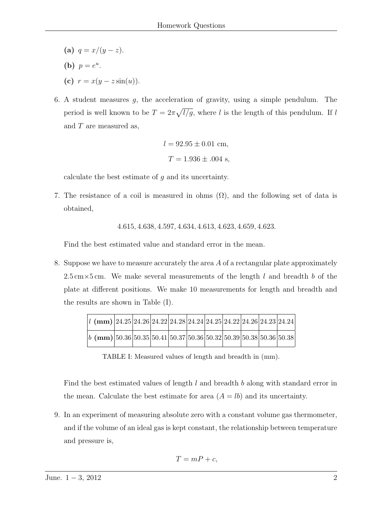- **(a)**  $q = x/(y z)$ .
- **(b)**  $p = e^u$ .
- **(c)**  $r = x(y z \sin(u)).$
- 6. A student measures *g*, the acceleration of gravity, using a simple pendulum. The period is well known to be  $T = 2\pi \sqrt{l/g}$ , where *l* is the length of this pendulum. If *l* and *T* are measured as,

$$
l = 92.95 \pm 0.01 \text{ cm},
$$
  

$$
T = 1.936 \pm .004 \text{ s},
$$

calculate the best estimate of *g* and its uncertainty.

7. The resistance of a coil is measured in ohms  $(\Omega)$ , and the following set of data is obtained,

4*.*615*,* 4*.*638*,* 4*.*597*,* 4*.*634*,* 4*.*613*,* 4*.*623*,* 4*.*659*,* 4*.*623*.*

Find the best estimated value and standard error in the mean.

8. Suppose we have to measure accurately the area *A* of a rectangular plate approximately 2*.*5 cm*×*5 cm. We make several measurements of the length *l* and breadth *b* of the plate at different positions. We make 10 measurements for length and breadth and the results are shown in Table (I).

| $l$ (mm) $ 24.25 24.26 24.22 24.28 24.24 24.25 24.22 24.26 24.23 24.24 $ |  |  |  |  |  |
|--------------------------------------------------------------------------|--|--|--|--|--|
| b (mm) $ 50.36 50.35 50.41 50.37 50.36 50.32 50.39 50.38 50.36 50.38 $   |  |  |  |  |  |

TABLE I: Measured values of length and breadth in (mm).

Find the best estimated values of length *l* and breadth *b* along with standard error in the mean. Calculate the best estimate for area  $(A = lb)$  and its uncertainty.

9. In an experiment of measuring absolute zero with a constant volume gas thermometer, and if the volume of an ideal gas is kept constant, the relationship between temperature and pressure is,

$$
T = mP + c,
$$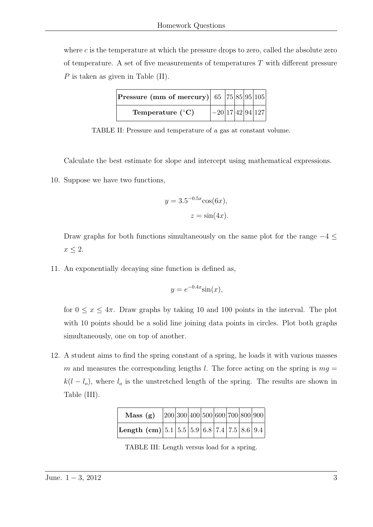where *c* is the temperature at which the pressure drops to zero, called the absolute zero of temperature. A set of five measurements of temperatures *T* with different pressure *P* is taken as given in Table *(II)*.

| <b>Pressure (mm of mercury)</b> 65   $75 85 95 105$ |                    |  |  |
|-----------------------------------------------------|--------------------|--|--|
| Temperature $({}^{\circ}C)$                         | $-20 17 42 94 127$ |  |  |

TABLE II: Pressure and temperature of a gas at constant volume.

Calculate the best estimate for slope and intercept using mathematical expressions.

10. Suppose we have two functions,

$$
y = 3.5^{-0.5x} \cos(6x),
$$
  

$$
z = \sin(4x).
$$

Draw graphs for both functions simultaneously on the same plot for the range *−*4 *≤*  $x \leq 2$ .

11. An exponentially decaying sine function is defined as,

$$
y = e^{-0.4x} \sin(x),
$$

for  $0 \leq x \leq 4\pi$ . Draw graphs by taking 10 and 100 points in the interval. The plot with 10 points should be a solid line joining data points in circles. Plot both graphs simultaneously, one on top of another.

12. A student aims to find the spring constant of a spring, he loads it with various masses *m* and measures the corresponding lengths *l*. The force acting on the spring is  $mq =$  $k(l - l_o)$ , where  $l_o$  is the unstretched length of the spring. The results are shown in Table (III).

| Mass(g)                                         | 200 300 400 500 600 700 800 900 |  |  |  |  |
|-------------------------------------------------|---------------------------------|--|--|--|--|
| Length (cm) $ 5.1 5.5 5.9 6.8 7.4 7.5 8.6 9.4 $ |                                 |  |  |  |  |

TABLE III: Length versus load for a spring.